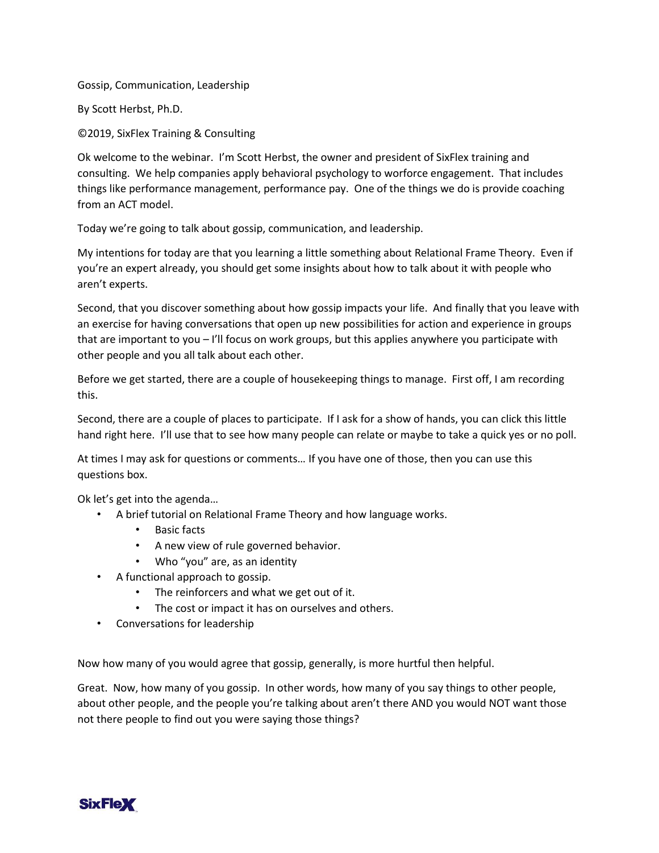Gossip, Communication, Leadership

By Scott Herbst, Ph.D.

©2019, SixFlex Training & Consulting

Ok welcome to the webinar. I'm Scott Herbst, the owner and president of SixFlex training and consulting. We help companies apply behavioral psychology to worforce engagement. That includes things like performance management, performance pay. One of the things we do is provide coaching from an ACT model.

Today we're going to talk about gossip, communication, and leadership.

My intentions for today are that you learning a little something about Relational Frame Theory. Even if you're an expert already, you should get some insights about how to talk about it with people who aren't experts.

Second, that you discover something about how gossip impacts your life. And finally that you leave with an exercise for having conversations that open up new possibilities for action and experience in groups that are important to you – I'll focus on work groups, but this applies anywhere you participate with other people and you all talk about each other.

Before we get started, there are a couple of housekeeping things to manage. First off, I am recording this.

Second, there are a couple of places to participate. If I ask for a show of hands, you can click this little hand right here. I'll use that to see how many people can relate or maybe to take a quick yes or no poll.

At times I may ask for questions or comments… If you have one of those, then you can use this questions box.

Ok let's get into the agenda…

- A brief tutorial on Relational Frame Theory and how language works.
	- Basic facts
	- A new view of rule governed behavior.
	- Who "you" are, as an identity
- A functional approach to gossip.
	- The reinforcers and what we get out of it.
	- The cost or impact it has on ourselves and others.
- Conversations for leadership

Now how many of you would agree that gossip, generally, is more hurtful then helpful.

Great. Now, how many of you gossip. In other words, how many of you say things to other people, about other people, and the people you're talking about aren't there AND you would NOT want those not there people to find out you were saying those things?

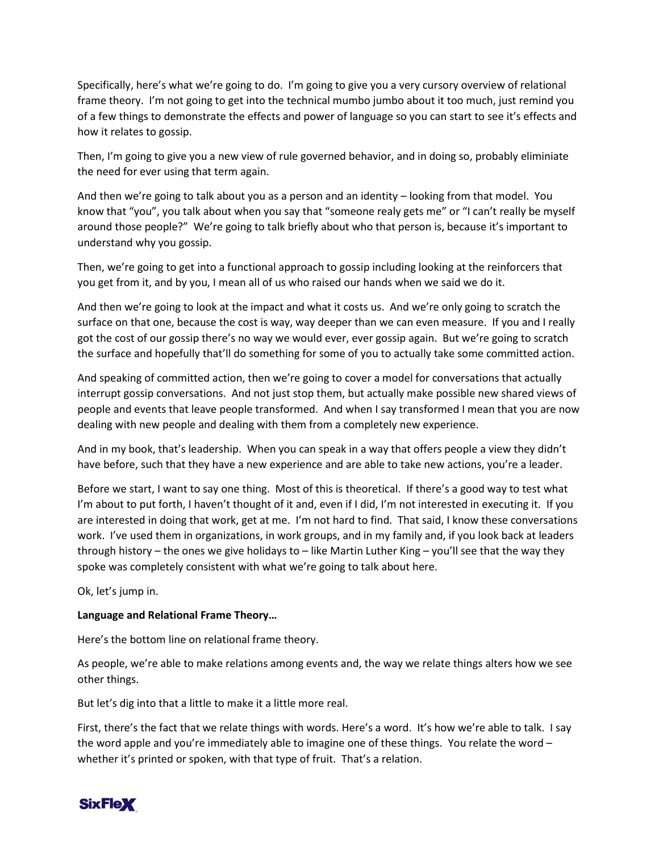Specifically, here's what we're going to do. I'm going to give you a very cursory overview of relational frame theory. I'm not going to get into the technical mumbo jumbo about it too much, just remind you of a few things to demonstrate the effects and power of language so you can start to see it's effects and how it relates to gossip.

Then, I'm going to give you a new view of rule governed behavior, and in doing so, probably eliminiate the need for ever using that term again.

And then we're going to talk about you as a person and an identity – looking from that model. You know that "you", you talk about when you say that "someone realy gets me" or "I can't really be myself around those people?" We're going to talk briefly about who that person is, because it's important to understand why you gossip.

Then, we're going to get into a functional approach to gossip including looking at the reinforcers that you get from it, and by you, I mean all of us who raised our hands when we said we do it.

And then we're going to look at the impact and what it costs us. And we're only going to scratch the surface on that one, because the cost is way, way deeper than we can even measure. If you and I really got the cost of our gossip there's no way we would ever, ever gossip again. But we're going to scratch the surface and hopefully that'll do something for some of you to actually take some committed action.

And speaking of committed action, then we're going to cover a model for conversations that actually interrupt gossip conversations. And not just stop them, but actually make possible new shared views of people and events that leave people transformed. And when I say transformed I mean that you are now dealing with new people and dealing with them from a completely new experience.

And in my book, that's leadership. When you can speak in a way that offers people a view they didn't have before, such that they have a new experience and are able to take new actions, you're a leader.

Before we start, I want to say one thing. Most of this is theoretical. If there's a good way to test what I'm about to put forth, I haven't thought of it and, even if I did, I'm not interested in executing it. If you are interested in doing that work, get at me. I'm not hard to find. That said, I know these conversations work. I've used them in organizations, in work groups, and in my family and, if you look back at leaders through history – the ones we give holidays to – like Martin Luther King – you'll see that the way they spoke was completely consistent with what we're going to talk about here.

Ok, let's jump in.

## **Language and Relational Frame Theory…**

Here's the bottom line on relational frame theory.

As people, we're able to make relations among events and, the way we relate things alters how we see other things.

But let's dig into that a little to make it a little more real.

First, there's the fact that we relate things with words. Here's a word. It's how we're able to talk. I say the word apple and you're immediately able to imagine one of these things. You relate the word – whether it's printed or spoken, with that type of fruit. That's a relation.

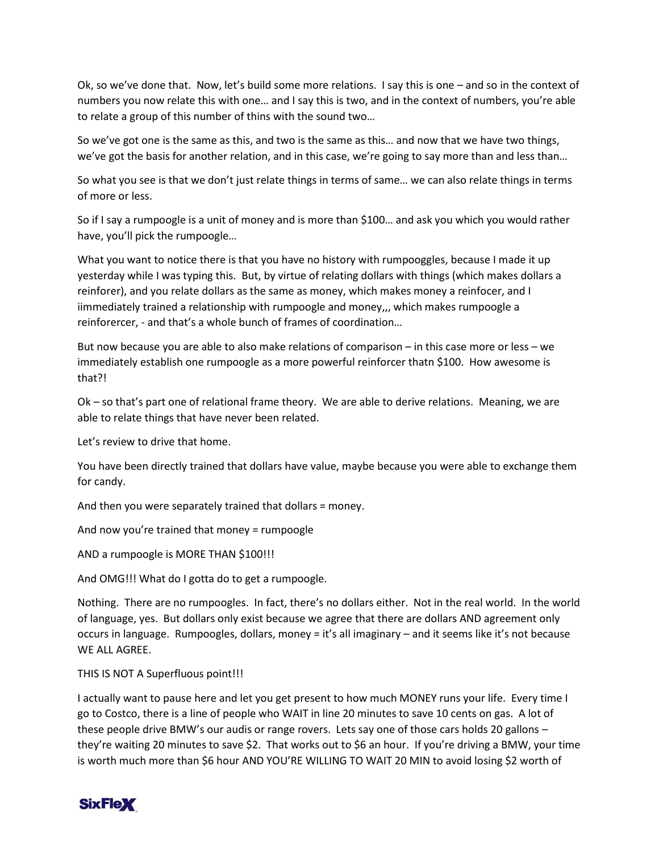Ok, so we've done that. Now, let's build some more relations. I say this is one – and so in the context of numbers you now relate this with one… and I say this is two, and in the context of numbers, you're able to relate a group of this number of thins with the sound two…

So we've got one is the same as this, and two is the same as this… and now that we have two things, we've got the basis for another relation, and in this case, we're going to say more than and less than…

So what you see is that we don't just relate things in terms of same… we can also relate things in terms of more or less.

So if I say a rumpoogle is a unit of money and is more than \$100… and ask you which you would rather have, you'll pick the rumpoogle…

What you want to notice there is that you have no history with rumpooggles, because I made it up yesterday while I was typing this. But, by virtue of relating dollars with things (which makes dollars a reinforer), and you relate dollars as the same as money, which makes money a reinfocer, and I iimmediately trained a relationship with rumpoogle and money,,, which makes rumpoogle a reinforercer, - and that's a whole bunch of frames of coordination…

But now because you are able to also make relations of comparison – in this case more or less – we immediately establish one rumpoogle as a more powerful reinforcer thatn \$100. How awesome is that?!

Ok – so that's part one of relational frame theory. We are able to derive relations. Meaning, we are able to relate things that have never been related.

Let's review to drive that home.

You have been directly trained that dollars have value, maybe because you were able to exchange them for candy.

And then you were separately trained that dollars = money.

And now you're trained that money = rumpoogle

AND a rumpoogle is MORE THAN \$100!!!

And OMG!!! What do I gotta do to get a rumpoogle.

Nothing. There are no rumpoogles. In fact, there's no dollars either. Not in the real world. In the world of language, yes. But dollars only exist because we agree that there are dollars AND agreement only occurs in language. Rumpoogles, dollars, money = it's all imaginary – and it seems like it's not because WE ALL AGREE.

THIS IS NOT A Superfluous point!!!

I actually want to pause here and let you get present to how much MONEY runs your life. Every time I go to Costco, there is a line of people who WAIT in line 20 minutes to save 10 cents on gas. A lot of these people drive BMW's our audis or range rovers. Lets say one of those cars holds 20 gallons – they're waiting 20 minutes to save \$2. That works out to \$6 an hour. If you're driving a BMW, your time is worth much more than \$6 hour AND YOU'RE WILLING TO WAIT 20 MIN to avoid losing \$2 worth of

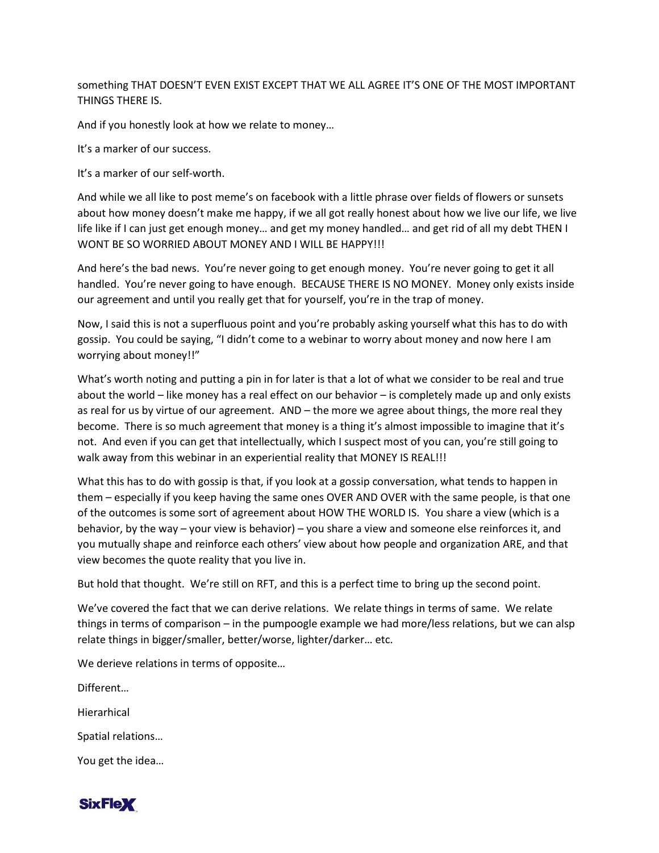something THAT DOESN'T EVEN EXIST EXCEPT THAT WE ALL AGREE IT'S ONE OF THE MOST IMPORTANT THINGS THERE IS.

And if you honestly look at how we relate to money…

It's a marker of our success.

It's a marker of our self-worth.

And while we all like to post meme's on facebook with a little phrase over fields of flowers or sunsets about how money doesn't make me happy, if we all got really honest about how we live our life, we live life like if I can just get enough money… and get my money handled… and get rid of all my debt THEN I WONT BE SO WORRIED ABOUT MONEY AND I WILL BE HAPPY!!!

And here's the bad news. You're never going to get enough money. You're never going to get it all handled. You're never going to have enough. BECAUSE THERE IS NO MONEY. Money only exists inside our agreement and until you really get that for yourself, you're in the trap of money.

Now, I said this is not a superfluous point and you're probably asking yourself what this has to do with gossip. You could be saying, "I didn't come to a webinar to worry about money and now here I am worrying about money!!"

What's worth noting and putting a pin in for later is that a lot of what we consider to be real and true about the world – like money has a real effect on our behavior – is completely made up and only exists as real for us by virtue of our agreement. AND – the more we agree about things, the more real they become. There is so much agreement that money is a thing it's almost impossible to imagine that it's not. And even if you can get that intellectually, which I suspect most of you can, you're still going to walk away from this webinar in an experiential reality that MONEY IS REAL!!!

What this has to do with gossip is that, if you look at a gossip conversation, what tends to happen in them – especially if you keep having the same ones OVER AND OVER with the same people, is that one of the outcomes is some sort of agreement about HOW THE WORLD IS. You share a view (which is a behavior, by the way – your view is behavior) – you share a view and someone else reinforces it, and you mutually shape and reinforce each others' view about how people and organization ARE, and that view becomes the quote reality that you live in.

But hold that thought. We're still on RFT, and this is a perfect time to bring up the second point.

We've covered the fact that we can derive relations. We relate things in terms of same. We relate things in terms of comparison – in the pumpoogle example we had more/less relations, but we can alsp relate things in bigger/smaller, better/worse, lighter/darker… etc.

We derieve relations in terms of opposite…

Different… **Hierarhical** Spatial relations… You get the idea…

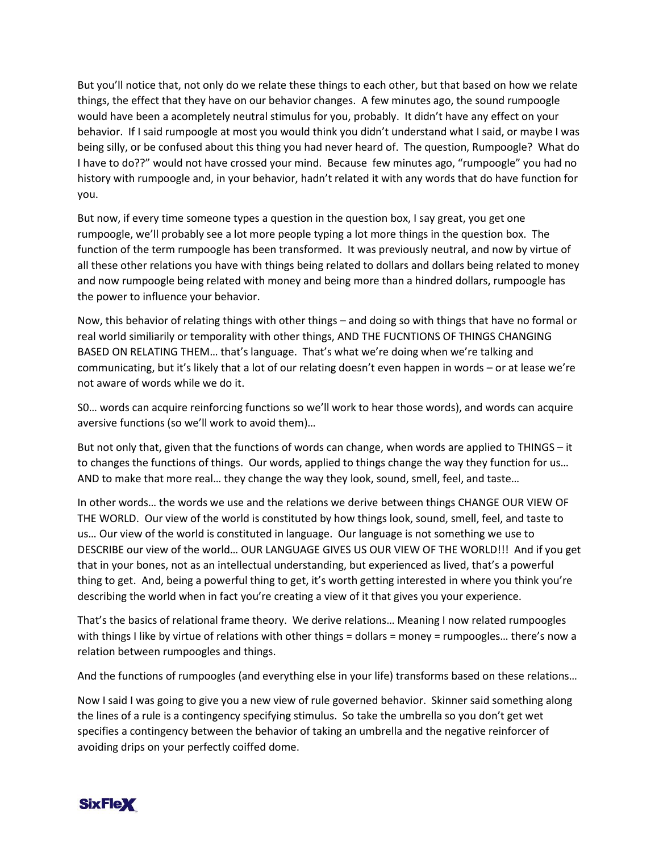But you'll notice that, not only do we relate these things to each other, but that based on how we relate things, the effect that they have on our behavior changes. A few minutes ago, the sound rumpoogle would have been a acompletely neutral stimulus for you, probably. It didn't have any effect on your behavior. If I said rumpoogle at most you would think you didn't understand what I said, or maybe I was being silly, or be confused about this thing you had never heard of. The question, Rumpoogle? What do I have to do??" would not have crossed your mind. Because few minutes ago, "rumpoogle" you had no history with rumpoogle and, in your behavior, hadn't related it with any words that do have function for you.

But now, if every time someone types a question in the question box, I say great, you get one rumpoogle, we'll probably see a lot more people typing a lot more things in the question box. The function of the term rumpoogle has been transformed. It was previously neutral, and now by virtue of all these other relations you have with things being related to dollars and dollars being related to money and now rumpoogle being related with money and being more than a hindred dollars, rumpoogle has the power to influence your behavior.

Now, this behavior of relating things with other things – and doing so with things that have no formal or real world similiarily or temporality with other things, AND THE FUCNTIONS OF THINGS CHANGING BASED ON RELATING THEM… that's language. That's what we're doing when we're talking and communicating, but it's likely that a lot of our relating doesn't even happen in words – or at lease we're not aware of words while we do it.

S0… words can acquire reinforcing functions so we'll work to hear those words), and words can acquire aversive functions (so we'll work to avoid them)…

But not only that, given that the functions of words can change, when words are applied to THINGS – it to changes the functions of things. Our words, applied to things change the way they function for us… AND to make that more real… they change the way they look, sound, smell, feel, and taste…

In other words… the words we use and the relations we derive between things CHANGE OUR VIEW OF THE WORLD. Our view of the world is constituted by how things look, sound, smell, feel, and taste to us… Our view of the world is constituted in language. Our language is not something we use to DESCRIBE our view of the world… OUR LANGUAGE GIVES US OUR VIEW OF THE WORLD!!! And if you get that in your bones, not as an intellectual understanding, but experienced as lived, that's a powerful thing to get. And, being a powerful thing to get, it's worth getting interested in where you think you're describing the world when in fact you're creating a view of it that gives you your experience.

That's the basics of relational frame theory. We derive relations… Meaning I now related rumpoogles with things I like by virtue of relations with other things = dollars = money = rumpoogles… there's now a relation between rumpoogles and things.

And the functions of rumpoogles (and everything else in your life) transforms based on these relations…

Now I said I was going to give you a new view of rule governed behavior. Skinner said something along the lines of a rule is a contingency specifying stimulus. So take the umbrella so you don't get wet specifies a contingency between the behavior of taking an umbrella and the negative reinforcer of avoiding drips on your perfectly coiffed dome.

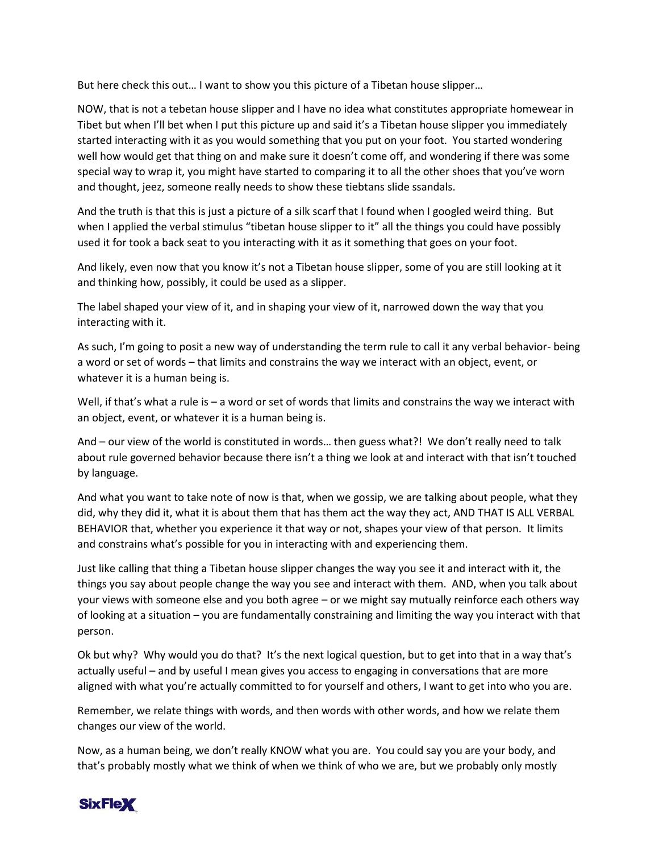But here check this out… I want to show you this picture of a Tibetan house slipper…

NOW, that is not a tebetan house slipper and I have no idea what constitutes appropriate homewear in Tibet but when I'll bet when I put this picture up and said it's a Tibetan house slipper you immediately started interacting with it as you would something that you put on your foot. You started wondering well how would get that thing on and make sure it doesn't come off, and wondering if there was some special way to wrap it, you might have started to comparing it to all the other shoes that you've worn and thought, jeez, someone really needs to show these tiebtans slide ssandals.

And the truth is that this is just a picture of a silk scarf that I found when I googled weird thing. But when I applied the verbal stimulus "tibetan house slipper to it" all the things you could have possibly used it for took a back seat to you interacting with it as it something that goes on your foot.

And likely, even now that you know it's not a Tibetan house slipper, some of you are still looking at it and thinking how, possibly, it could be used as a slipper.

The label shaped your view of it, and in shaping your view of it, narrowed down the way that you interacting with it.

As such, I'm going to posit a new way of understanding the term rule to call it any verbal behavior- being a word or set of words – that limits and constrains the way we interact with an object, event, or whatever it is a human being is.

Well, if that's what a rule is – a word or set of words that limits and constrains the way we interact with an object, event, or whatever it is a human being is.

And – our view of the world is constituted in words… then guess what?! We don't really need to talk about rule governed behavior because there isn't a thing we look at and interact with that isn't touched by language.

And what you want to take note of now is that, when we gossip, we are talking about people, what they did, why they did it, what it is about them that has them act the way they act, AND THAT IS ALL VERBAL BEHAVIOR that, whether you experience it that way or not, shapes your view of that person. It limits and constrains what's possible for you in interacting with and experiencing them.

Just like calling that thing a Tibetan house slipper changes the way you see it and interact with it, the things you say about people change the way you see and interact with them. AND, when you talk about your views with someone else and you both agree – or we might say mutually reinforce each others way of looking at a situation – you are fundamentally constraining and limiting the way you interact with that person.

Ok but why? Why would you do that? It's the next logical question, but to get into that in a way that's actually useful – and by useful I mean gives you access to engaging in conversations that are more aligned with what you're actually committed to for yourself and others, I want to get into who you are.

Remember, we relate things with words, and then words with other words, and how we relate them changes our view of the world.

Now, as a human being, we don't really KNOW what you are. You could say you are your body, and that's probably mostly what we think of when we think of who we are, but we probably only mostly

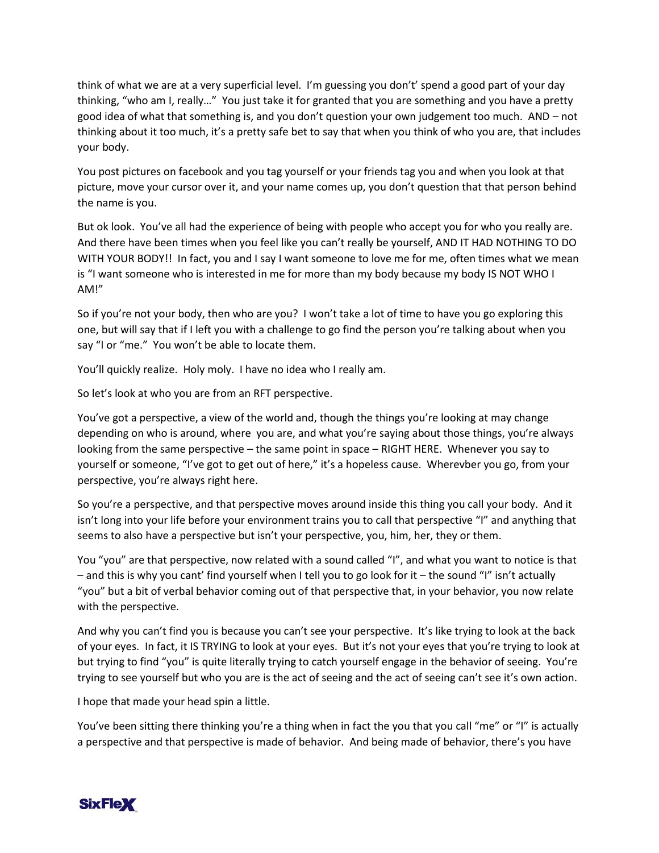think of what we are at a very superficial level. I'm guessing you don't' spend a good part of your day thinking, "who am I, really…" You just take it for granted that you are something and you have a pretty good idea of what that something is, and you don't question your own judgement too much. AND – not thinking about it too much, it's a pretty safe bet to say that when you think of who you are, that includes your body.

You post pictures on facebook and you tag yourself or your friends tag you and when you look at that picture, move your cursor over it, and your name comes up, you don't question that that person behind the name is you.

But ok look. You've all had the experience of being with people who accept you for who you really are. And there have been times when you feel like you can't really be yourself, AND IT HAD NOTHING TO DO WITH YOUR BODY!! In fact, you and I say I want someone to love me for me, often times what we mean is "I want someone who is interested in me for more than my body because my body IS NOT WHO I AM!"

So if you're not your body, then who are you? I won't take a lot of time to have you go exploring this one, but will say that if I left you with a challenge to go find the person you're talking about when you say "I or "me." You won't be able to locate them.

You'll quickly realize. Holy moly. I have no idea who I really am.

So let's look at who you are from an RFT perspective.

You've got a perspective, a view of the world and, though the things you're looking at may change depending on who is around, where you are, and what you're saying about those things, you're always looking from the same perspective – the same point in space – RIGHT HERE. Whenever you say to yourself or someone, "I've got to get out of here," it's a hopeless cause. Wherevber you go, from your perspective, you're always right here.

So you're a perspective, and that perspective moves around inside this thing you call your body. And it isn't long into your life before your environment trains you to call that perspective "I" and anything that seems to also have a perspective but isn't your perspective, you, him, her, they or them.

You "you" are that perspective, now related with a sound called "I", and what you want to notice is that – and this is why you cant' find yourself when I tell you to go look for it – the sound "I" isn't actually "you" but a bit of verbal behavior coming out of that perspective that, in your behavior, you now relate with the perspective.

And why you can't find you is because you can't see your perspective. It's like trying to look at the back of your eyes. In fact, it IS TRYING to look at your eyes. But it's not your eyes that you're trying to look at but trying to find "you" is quite literally trying to catch yourself engage in the behavior of seeing. You're trying to see yourself but who you are is the act of seeing and the act of seeing can't see it's own action.

I hope that made your head spin a little.

You've been sitting there thinking you're a thing when in fact the you that you call "me" or "I" is actually a perspective and that perspective is made of behavior. And being made of behavior, there's you have

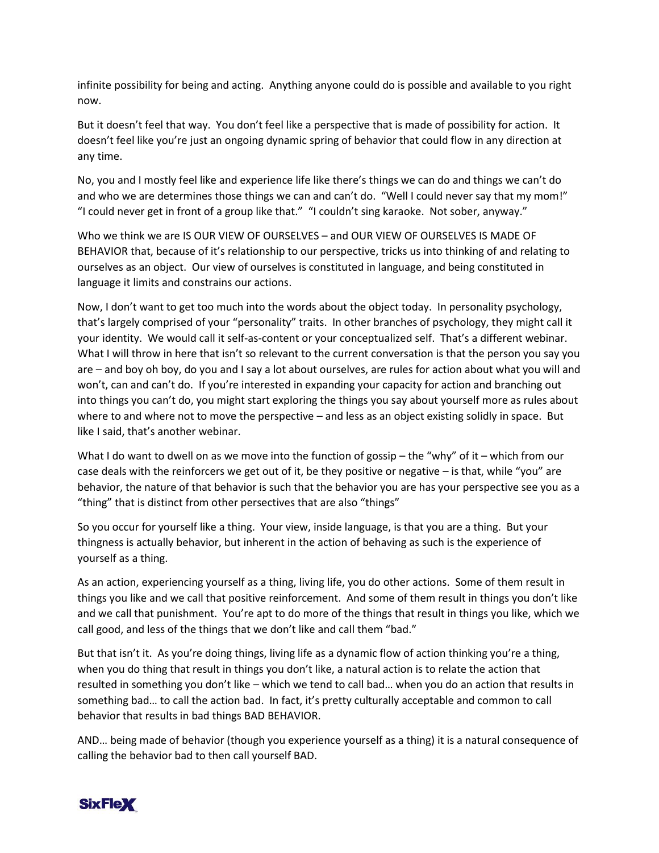infinite possibility for being and acting. Anything anyone could do is possible and available to you right now.

But it doesn't feel that way. You don't feel like a perspective that is made of possibility for action. It doesn't feel like you're just an ongoing dynamic spring of behavior that could flow in any direction at any time.

No, you and I mostly feel like and experience life like there's things we can do and things we can't do and who we are determines those things we can and can't do. "Well I could never say that my mom!" "I could never get in front of a group like that." "I couldn't sing karaoke. Not sober, anyway."

Who we think we are IS OUR VIEW OF OURSELVES – and OUR VIEW OF OURSELVES IS MADE OF BEHAVIOR that, because of it's relationship to our perspective, tricks us into thinking of and relating to ourselves as an object. Our view of ourselves is constituted in language, and being constituted in language it limits and constrains our actions.

Now, I don't want to get too much into the words about the object today. In personality psychology, that's largely comprised of your "personality" traits. In other branches of psychology, they might call it your identity. We would call it self-as-content or your conceptualized self. That's a different webinar. What I will throw in here that isn't so relevant to the current conversation is that the person you say you are – and boy oh boy, do you and I say a lot about ourselves, are rules for action about what you will and won't, can and can't do. If you're interested in expanding your capacity for action and branching out into things you can't do, you might start exploring the things you say about yourself more as rules about where to and where not to move the perspective – and less as an object existing solidly in space. But like I said, that's another webinar.

What I do want to dwell on as we move into the function of gossip – the "why" of it – which from our case deals with the reinforcers we get out of it, be they positive or negative – is that, while "you" are behavior, the nature of that behavior is such that the behavior you are has your perspective see you as a "thing" that is distinct from other persectives that are also "things"

So you occur for yourself like a thing. Your view, inside language, is that you are a thing. But your thingness is actually behavior, but inherent in the action of behaving as such is the experience of yourself as a thing.

As an action, experiencing yourself as a thing, living life, you do other actions. Some of them result in things you like and we call that positive reinforcement. And some of them result in things you don't like and we call that punishment. You're apt to do more of the things that result in things you like, which we call good, and less of the things that we don't like and call them "bad."

But that isn't it. As you're doing things, living life as a dynamic flow of action thinking you're a thing, when you do thing that result in things you don't like, a natural action is to relate the action that resulted in something you don't like – which we tend to call bad… when you do an action that results in something bad… to call the action bad. In fact, it's pretty culturally acceptable and common to call behavior that results in bad things BAD BEHAVIOR.

AND… being made of behavior (though you experience yourself as a thing) it is a natural consequence of calling the behavior bad to then call yourself BAD.

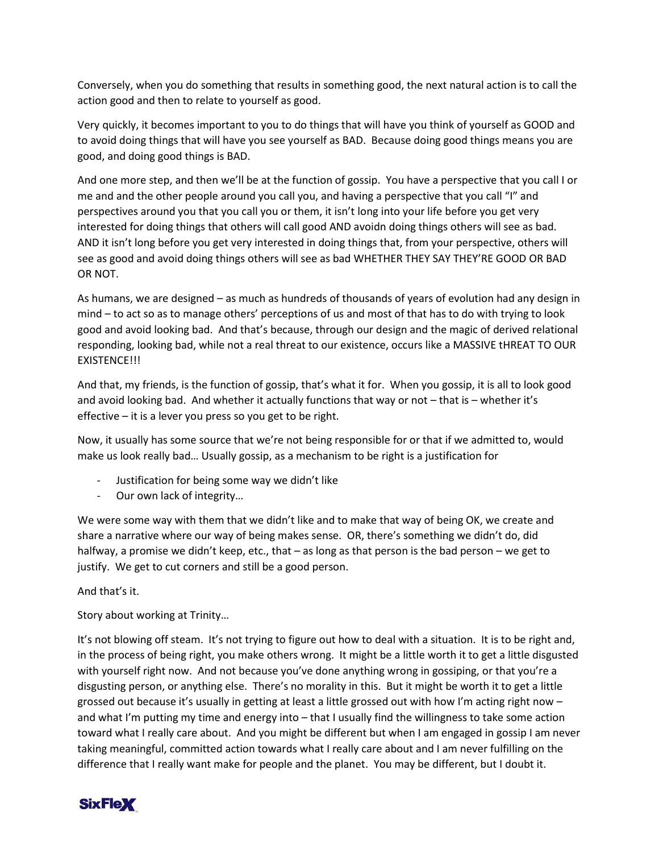Conversely, when you do something that results in something good, the next natural action is to call the action good and then to relate to yourself as good.

Very quickly, it becomes important to you to do things that will have you think of yourself as GOOD and to avoid doing things that will have you see yourself as BAD. Because doing good things means you are good, and doing good things is BAD.

And one more step, and then we'll be at the function of gossip. You have a perspective that you call I or me and and the other people around you call you, and having a perspective that you call "I" and perspectives around you that you call you or them, it isn't long into your life before you get very interested for doing things that others will call good AND avoidn doing things others will see as bad. AND it isn't long before you get very interested in doing things that, from your perspective, others will see as good and avoid doing things others will see as bad WHETHER THEY SAY THEY'RE GOOD OR BAD OR NOT.

As humans, we are designed – as much as hundreds of thousands of years of evolution had any design in mind – to act so as to manage others' perceptions of us and most of that has to do with trying to look good and avoid looking bad. And that's because, through our design and the magic of derived relational responding, looking bad, while not a real threat to our existence, occurs like a MASSIVE tHREAT TO OUR EXISTENCE!!!

And that, my friends, is the function of gossip, that's what it for. When you gossip, it is all to look good and avoid looking bad. And whether it actually functions that way or not – that is – whether it's effective – it is a lever you press so you get to be right.

Now, it usually has some source that we're not being responsible for or that if we admitted to, would make us look really bad… Usually gossip, as a mechanism to be right is a justification for

- Justification for being some way we didn't like
- Our own lack of integrity…

We were some way with them that we didn't like and to make that way of being OK, we create and share a narrative where our way of being makes sense. OR, there's something we didn't do, did halfway, a promise we didn't keep, etc., that – as long as that person is the bad person – we get to justify. We get to cut corners and still be a good person.

And that's it.

Story about working at Trinity…

It's not blowing off steam. It's not trying to figure out how to deal with a situation. It is to be right and, in the process of being right, you make others wrong. It might be a little worth it to get a little disgusted with yourself right now. And not because you've done anything wrong in gossiping, or that you're a disgusting person, or anything else. There's no morality in this. But it might be worth it to get a little grossed out because it's usually in getting at least a little grossed out with how I'm acting right now – and what I'm putting my time and energy into – that I usually find the willingness to take some action toward what I really care about. And you might be different but when I am engaged in gossip I am never taking meaningful, committed action towards what I really care about and I am never fulfilling on the difference that I really want make for people and the planet. You may be different, but I doubt it.

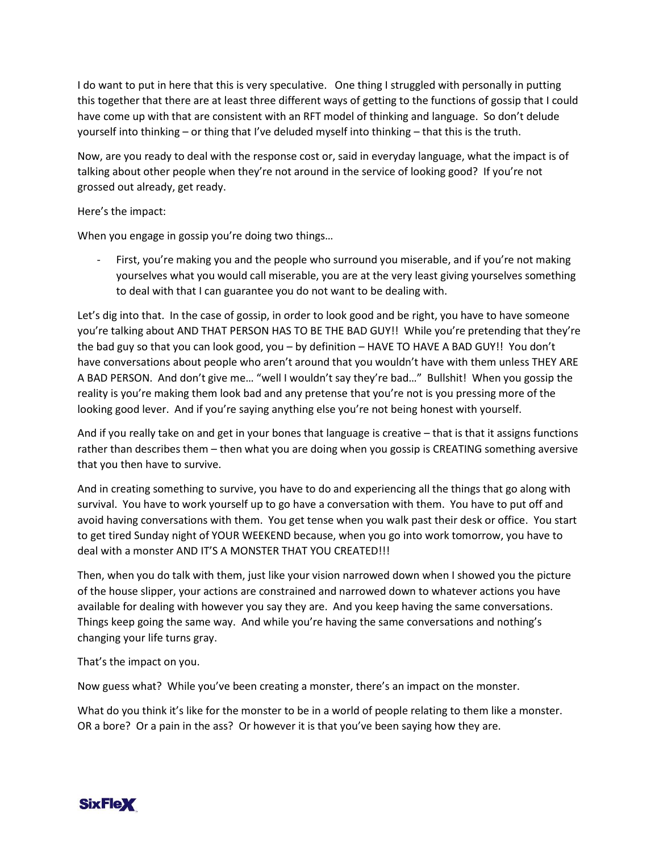I do want to put in here that this is very speculative. One thing I struggled with personally in putting this together that there are at least three different ways of getting to the functions of gossip that I could have come up with that are consistent with an RFT model of thinking and language. So don't delude yourself into thinking – or thing that I've deluded myself into thinking – that this is the truth.

Now, are you ready to deal with the response cost or, said in everyday language, what the impact is of talking about other people when they're not around in the service of looking good? If you're not grossed out already, get ready.

## Here's the impact:

When you engage in gossip you're doing two things…

First, you're making you and the people who surround you miserable, and if you're not making yourselves what you would call miserable, you are at the very least giving yourselves something to deal with that I can guarantee you do not want to be dealing with.

Let's dig into that. In the case of gossip, in order to look good and be right, you have to have someone you're talking about AND THAT PERSON HAS TO BE THE BAD GUY!! While you're pretending that they're the bad guy so that you can look good, you – by definition – HAVE TO HAVE A BAD GUY!! You don't have conversations about people who aren't around that you wouldn't have with them unless THEY ARE A BAD PERSON. And don't give me… "well I wouldn't say they're bad…" Bullshit! When you gossip the reality is you're making them look bad and any pretense that you're not is you pressing more of the looking good lever. And if you're saying anything else you're not being honest with yourself.

And if you really take on and get in your bones that language is creative – that is that it assigns functions rather than describes them – then what you are doing when you gossip is CREATING something aversive that you then have to survive.

And in creating something to survive, you have to do and experiencing all the things that go along with survival. You have to work yourself up to go have a conversation with them. You have to put off and avoid having conversations with them. You get tense when you walk past their desk or office. You start to get tired Sunday night of YOUR WEEKEND because, when you go into work tomorrow, you have to deal with a monster AND IT'S A MONSTER THAT YOU CREATED!!!

Then, when you do talk with them, just like your vision narrowed down when I showed you the picture of the house slipper, your actions are constrained and narrowed down to whatever actions you have available for dealing with however you say they are. And you keep having the same conversations. Things keep going the same way. And while you're having the same conversations and nothing's changing your life turns gray.

That's the impact on you.

Now guess what? While you've been creating a monster, there's an impact on the monster.

What do you think it's like for the monster to be in a world of people relating to them like a monster. OR a bore? Or a pain in the ass? Or however it is that you've been saying how they are.

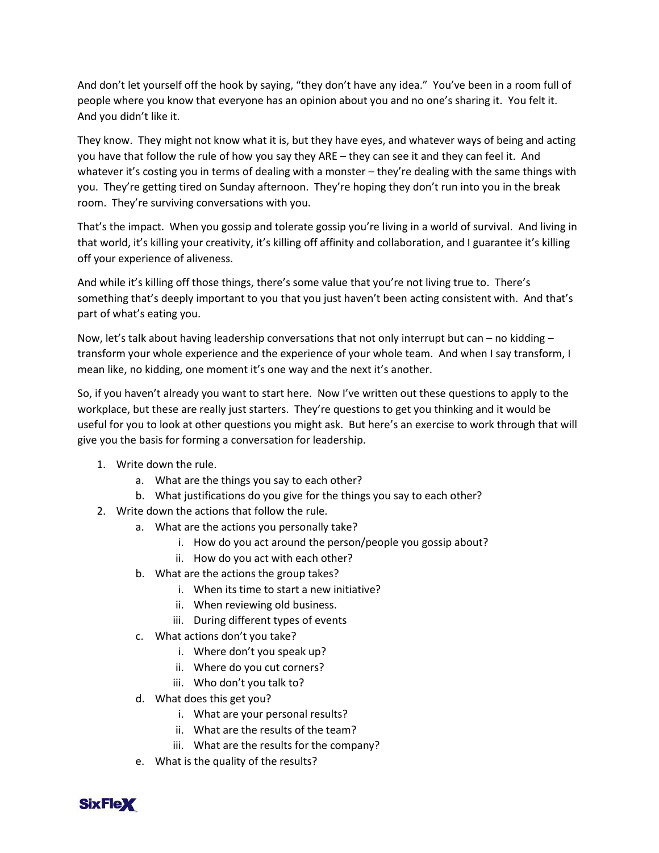And don't let yourself off the hook by saying, "they don't have any idea." You've been in a room full of people where you know that everyone has an opinion about you and no one's sharing it. You felt it. And you didn't like it.

They know. They might not know what it is, but they have eyes, and whatever ways of being and acting you have that follow the rule of how you say they ARE – they can see it and they can feel it. And whatever it's costing you in terms of dealing with a monster – they're dealing with the same things with you. They're getting tired on Sunday afternoon. They're hoping they don't run into you in the break room. They're surviving conversations with you.

That's the impact. When you gossip and tolerate gossip you're living in a world of survival. And living in that world, it's killing your creativity, it's killing off affinity and collaboration, and I guarantee it's killing off your experience of aliveness.

And while it's killing off those things, there's some value that you're not living true to. There's something that's deeply important to you that you just haven't been acting consistent with. And that's part of what's eating you.

Now, let's talk about having leadership conversations that not only interrupt but can – no kidding – transform your whole experience and the experience of your whole team. And when I say transform, I mean like, no kidding, one moment it's one way and the next it's another.

So, if you haven't already you want to start here. Now I've written out these questions to apply to the workplace, but these are really just starters. They're questions to get you thinking and it would be useful for you to look at other questions you might ask. But here's an exercise to work through that will give you the basis for forming a conversation for leadership.

- 1. Write down the rule.
	- a. What are the things you say to each other?
	- b. What justifications do you give for the things you say to each other?
- 2. Write down the actions that follow the rule.
	- a. What are the actions you personally take?
		- i. How do you act around the person/people you gossip about?
		- ii. How do you act with each other?
	- b. What are the actions the group takes?
		- i. When its time to start a new initiative?
		- ii. When reviewing old business.
		- iii. During different types of events
	- c. What actions don't you take?
		- i. Where don't you speak up?
		- ii. Where do you cut corners?
		- iii. Who don't you talk to?
	- d. What does this get you?
		- i. What are your personal results?
		- ii. What are the results of the team?
		- iii. What are the results for the company?
	- e. What is the quality of the results?

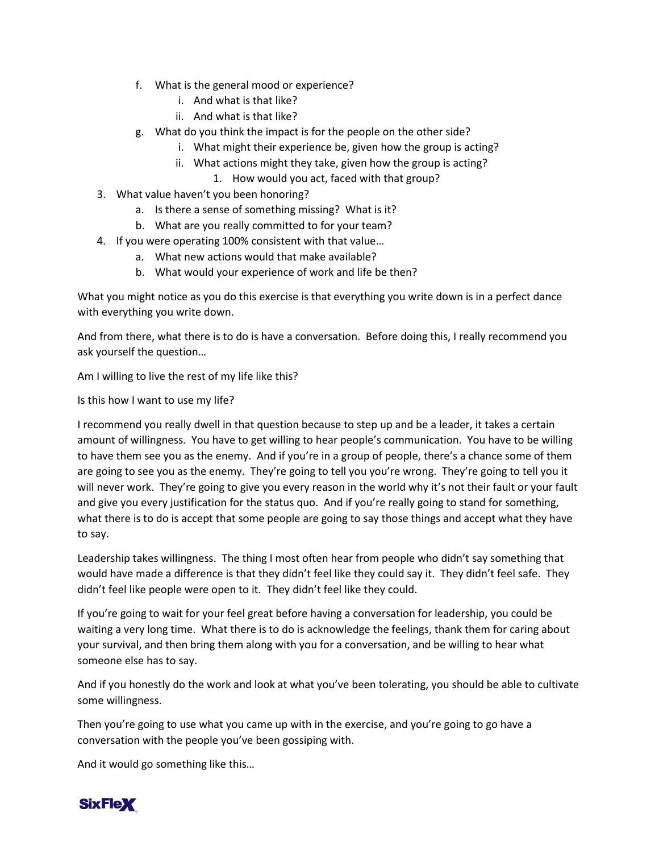- f. What is the general mood or experience?
	- i. And what is that like?
	- ii. And what is that like?
- g. What do you think the impact is for the people on the other side?
	- i. What might their experience be, given how the group is acting?
	- ii. What actions might they take, given how the group is acting?
		- 1. How would you act, faced with that group?
- 3. What value haven't you been honoring?
	- a. Is there a sense of something missing? What is it?
	- b. What are you really committed to for your team?
- 4. If you were operating 100% consistent with that value…
	- a. What new actions would that make available?
	- b. What would your experience of work and life be then?

What you might notice as you do this exercise is that everything you write down is in a perfect dance with everything you write down.

And from there, what there is to do is have a conversation. Before doing this, I really recommend you ask yourself the question…

Am I willing to live the rest of my life like this?

Is this how I want to use my life?

I recommend you really dwell in that question because to step up and be a leader, it takes a certain amount of willingness. You have to get willing to hear people's communication. You have to be willing to have them see you as the enemy. And if you're in a group of people, there's a chance some of them are going to see you as the enemy. They're going to tell you you're wrong. They're going to tell you it will never work. They're going to give you every reason in the world why it's not their fault or your fault and give you every justification for the status quo. And if you're really going to stand for something, what there is to do is accept that some people are going to say those things and accept what they have to say.

Leadership takes willingness. The thing I most often hear from people who didn't say something that would have made a difference is that they didn't feel like they could say it. They didn't feel safe. They didn't feel like people were open to it. They didn't feel like they could.

If you're going to wait for your feel great before having a conversation for leadership, you could be waiting a very long time. What there is to do is acknowledge the feelings, thank them for caring about your survival, and then bring them along with you for a conversation, and be willing to hear what someone else has to say.

And if you honestly do the work and look at what you've been tolerating, you should be able to cultivate some willingness.

Then you're going to use what you came up with in the exercise, and you're going to go have a conversation with the people you've been gossiping with.

And it would go something like this…